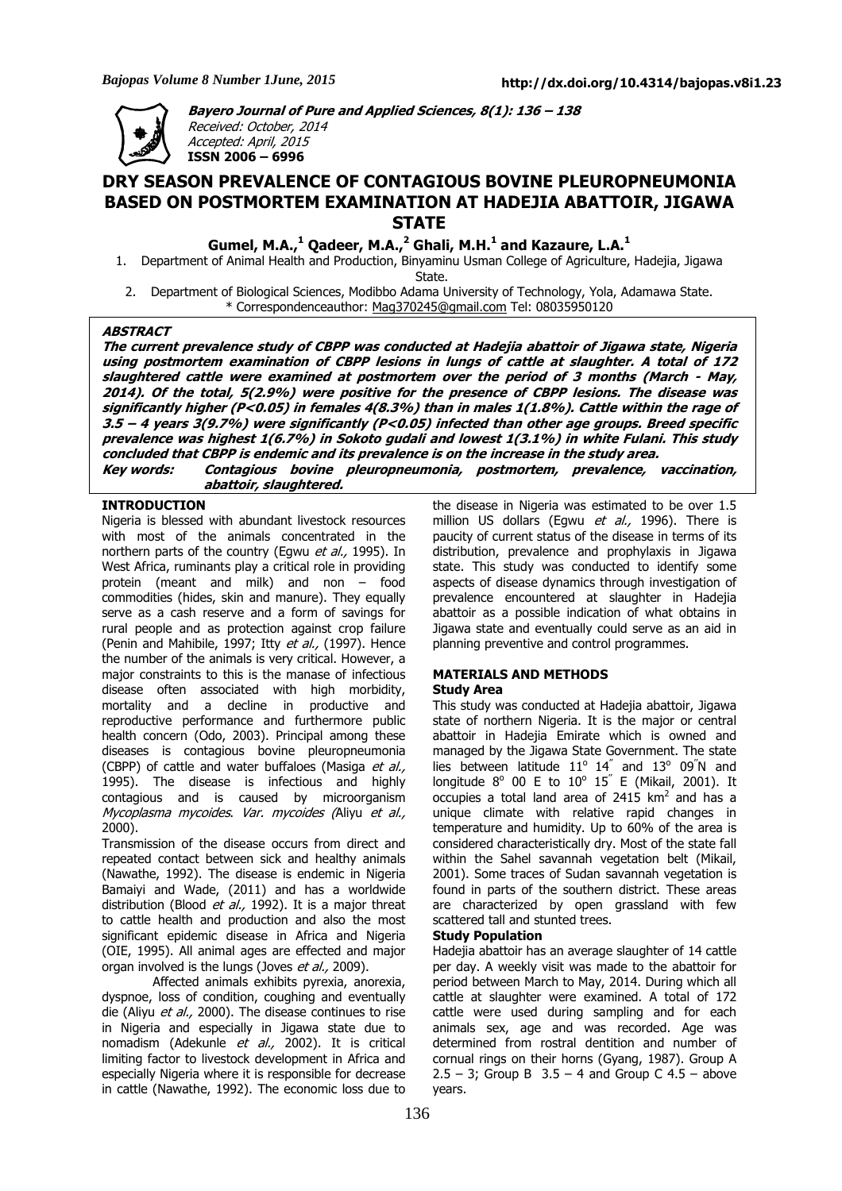

**Bayero Journal of Pure and Applied Sciences, 8(1): 136 – 138**  Received: October, 2014 Accepted: April, 2015 **ISSN 2006 – 6996** 

# **DRY SEASON PREVALENCE OF CONTAGIOUS BOVINE PLEUROPNEUMONIA BASED ON POSTMORTEM EXAMINATION AT HADEJIA ABATTOIR, JIGAWA STATE**

**Gumel, M.A.,<sup>1</sup> Qadeer, M.A.,<sup>2</sup> Ghali, M.H.<sup>1</sup> and Kazaure, L.A.<sup>1</sup>**

1. Department of Animal Health and Production, Binyaminu Usman College of Agriculture, Hadejia, Jigawa

State.

2. Department of Biological Sciences, Modibbo Adama University of Technology, Yola, Adamawa State. \* Correspondenceauthor: Mag370245@gmail.com Tel: 08035950120

# **ABSTRACT**

**The current prevalence study of CBPP was conducted at Hadejia abattoir of Jigawa state, Nigeria using postmortem examination of CBPP lesions in lungs of cattle at slaughter. A total of 172 slaughtered cattle were examined at postmortem over the period of 3 months (March - May, 2014). Of the total, 5(2.9%) were positive for the presence of CBPP lesions. The disease was significantly higher (P<0.05) in females 4(8.3%) than in males 1(1.8%). Cattle within the rage of 3.5 – 4 years 3(9.7%) were significantly (P<0.05) infected than other age groups. Breed specific prevalence was highest 1(6.7%) in Sokoto gudali and lowest 1(3.1%) in white Fulani. This study concluded that CBPP is endemic and its prevalence is on the increase in the study area. Key words: Contagious bovine pleuropneumonia, postmortem, prevalence, vaccination, abattoir, slaughtered.** 

# **INTRODUCTION**

Nigeria is blessed with abundant livestock resources with most of the animals concentrated in the northern parts of the country (Egwu et al., 1995). In West Africa, ruminants play a critical role in providing protein (meant and milk) and non – food commodities (hides, skin and manure). They equally serve as a cash reserve and a form of savings for rural people and as protection against crop failure (Penin and Mahibile, 1997; Itty et al., (1997). Hence the number of the animals is very critical. However, a major constraints to this is the manase of infectious disease often associated with high morbidity, mortality and a decline in productive and reproductive performance and furthermore public health concern (Odo, 2003). Principal among these diseases is contagious bovine pleuropneumonia (CBPP) of cattle and water buffaloes (Masiga et al., 1995). The disease is infectious and highly contagious and is caused by microorganism Mycoplasma mycoides. Var. mycoides (Aliyu et al., 2000).

Transmission of the disease occurs from direct and repeated contact between sick and healthy animals (Nawathe, 1992). The disease is endemic in Nigeria Bamaiyi and Wade, (2011) and has a worldwide distribution (Blood et al., 1992). It is a major threat to cattle health and production and also the most significant epidemic disease in Africa and Nigeria (OIE, 1995). All animal ages are effected and major organ involved is the lungs (Joves et al., 2009).

Affected animals exhibits pyrexia, anorexia, dyspnoe, loss of condition, coughing and eventually die (Aliyu et al., 2000). The disease continues to rise in Nigeria and especially in Jigawa state due to nomadism (Adekunle et al., 2002). It is critical limiting factor to livestock development in Africa and especially Nigeria where it is responsible for decrease in cattle (Nawathe, 1992). The economic loss due to

the disease in Nigeria was estimated to be over 1.5 million US dollars (Fowu et al., 1996). There is paucity of current status of the disease in terms of its distribution, prevalence and prophylaxis in Jigawa state. This study was conducted to identify some aspects of disease dynamics through investigation of prevalence encountered at slaughter in Hadejia abattoir as a possible indication of what obtains in Jigawa state and eventually could serve as an aid in planning preventive and control programmes.

# **MATERIALS AND METHODS**

# **Study Area**

This study was conducted at Hadejia abattoir, Jigawa state of northern Nigeria. It is the major or central abattoir in Hadejia Emirate which is owned and managed by the Jigawa State Government. The state lies between latitude  $11^{\circ}$   $14^{''}$  and  $13^{\circ}$  09<sup>"</sup>N and longitude  $8^{\circ}$  00 E to 10 $^{\circ}$  15<sup>"</sup> E (Mikail, 2001). It occupies a total land area of 2415  $km^2$  and has a unique climate with relative rapid changes in temperature and humidity. Up to 60% of the area is considered characteristically dry. Most of the state fall within the Sahel savannah vegetation belt (Mikail, 2001). Some traces of Sudan savannah vegetation is found in parts of the southern district. These areas are characterized by open grassland with few scattered tall and stunted trees.

## **Study Population**

Hadejia abattoir has an average slaughter of 14 cattle per day. A weekly visit was made to the abattoir for period between March to May, 2014. During which all cattle at slaughter were examined. A total of 172 cattle were used during sampling and for each animals sex, age and was recorded. Age was determined from rostral dentition and number of cornual rings on their horns (Gyang, 1987). Group A 2.5 – 3; Group B  $3.5 - 4$  and Group C 4.5 – above years.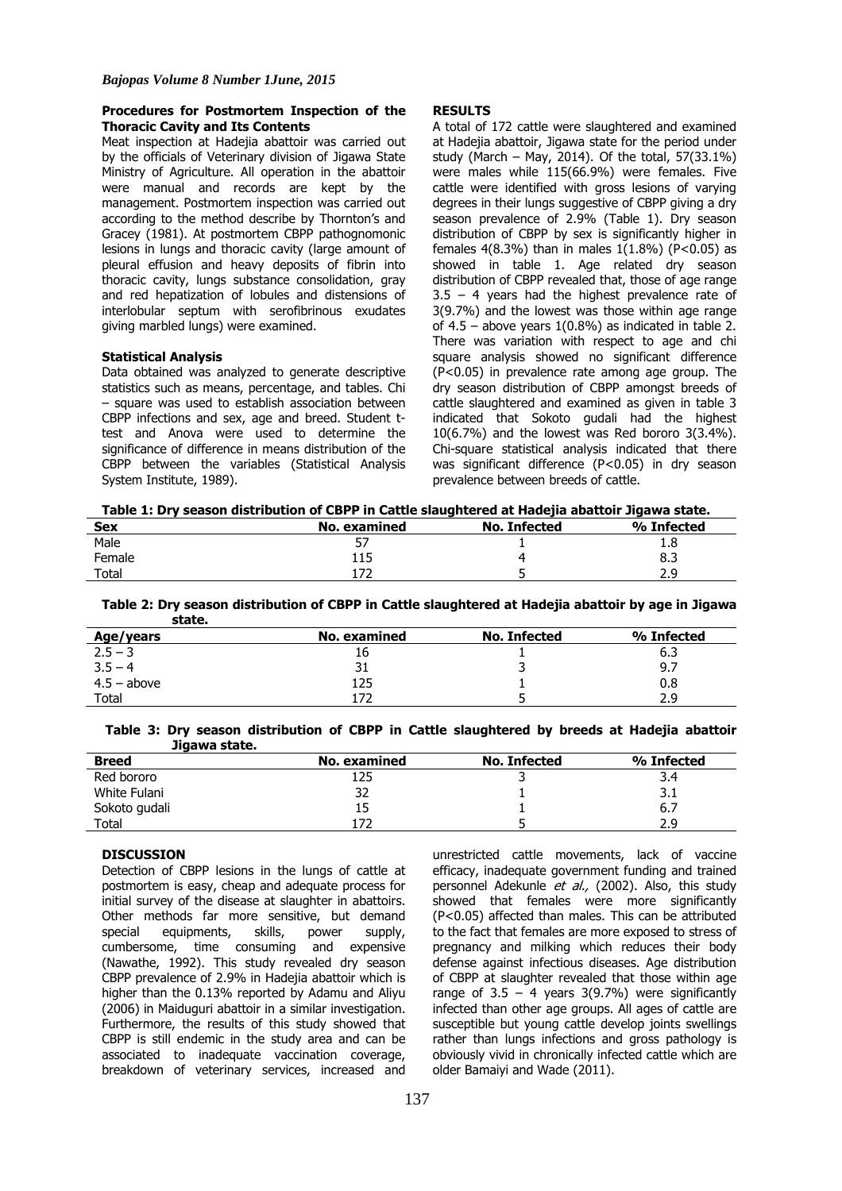## **Procedures for Postmortem Inspection of the Thoracic Cavity and Its Contents**

Meat inspection at Hadejia abattoir was carried out by the officials of Veterinary division of Jigawa State Ministry of Agriculture. All operation in the abattoir were manual and records are kept by the management. Postmortem inspection was carried out according to the method describe by Thornton's and Gracey (1981). At postmortem CBPP pathognomonic lesions in lungs and thoracic cavity (large amount of pleural effusion and heavy deposits of fibrin into thoracic cavity, lungs substance consolidation, gray and red hepatization of lobules and distensions of interlobular septum with serofibrinous exudates giving marbled lungs) were examined.

#### **Statistical Analysis**

Data obtained was analyzed to generate descriptive statistics such as means, percentage, and tables. Chi – square was used to establish association between CBPP infections and sex, age and breed. Student ttest and Anova were used to determine the significance of difference in means distribution of the CBPP between the variables (Statistical Analysis System Institute, 1989).

#### **RESULTS**

A total of 172 cattle were slaughtered and examined at Hadejia abattoir, Jigawa state for the period under study (March – May, 2014). Of the total, 57(33.1%) were males while 115(66.9%) were females. Five cattle were identified with gross lesions of varying degrees in their lungs suggestive of CBPP giving a dry season prevalence of 2.9% (Table 1). Dry season distribution of CBPP by sex is significantly higher in females  $4(8.3\%)$  than in males  $1(1.8\%)$  (P<0.05) as showed in table 1. Age related dry season distribution of CBPP revealed that, those of age range 3.5 – 4 years had the highest prevalence rate of 3(9.7%) and the lowest was those within age range of 4.5 – above years 1(0.8%) as indicated in table 2. There was variation with respect to age and chi square analysis showed no significant difference (P<0.05) in prevalence rate among age group. The dry season distribution of CBPP amongst breeds of cattle slaughtered and examined as given in table 3 indicated that Sokoto gudali had the highest 10(6.7%) and the lowest was Red bororo 3(3.4%). Chi-square statistical analysis indicated that there was significant difference (P<0.05) in dry season prevalence between breeds of cattle.

**Table 1: Dry season distribution of CBPP in Cattle slaughtered at Hadejia abattoir Jigawa state.** 

| <b>Sex</b> | No. examined | <b>No. Infected</b> | % Infected |
|------------|--------------|---------------------|------------|
| Male       | э,           |                     | 1.8        |
| Female     | 115          |                     | 8.3        |
| Total      |              |                     | າ ດ<br>د.د |

**Table 2: Dry season distribution of CBPP in Cattle slaughtered at Hadejia abattoir by age in Jigawa state.** 

| ------        |              |                     |            |
|---------------|--------------|---------------------|------------|
| Age/years     | No. examined | <b>No. Infected</b> | % Infected |
| $2.5 - 3$     | Ţρ           |                     | د.6        |
| $3.5 - 4$     |              |                     | 9.7        |
| $4.5 - above$ | 125          |                     | 0.8        |
| <b>Total</b>  |              |                     | 2.9        |
|               |              |                     |            |

| Table 3: Dry season distribution of CBPP in Cattle slaughtered by breeds at Hadejia abattoir |  |  |  |  |  |
|----------------------------------------------------------------------------------------------|--|--|--|--|--|
| Jigawa state.                                                                                |  |  |  |  |  |

| <b>Breed</b>  | No. examined | No. Infected | % Infected |
|---------------|--------------|--------------|------------|
| Red bororo    | 125          |              | 3.4        |
| White Fulani  | 32           |              | ے ۔        |
| Sokoto gudali | 15           |              | 6.7        |
| Total         |              |              | 2.9        |

### **DISCUSSION**

Detection of CBPP lesions in the lungs of cattle at postmortem is easy, cheap and adequate process for initial survey of the disease at slaughter in abattoirs. Other methods far more sensitive, but demand special equipments, skills, power supply, cumbersome, time consuming and expensive (Nawathe, 1992). This study revealed dry season CBPP prevalence of 2.9% in Hadejia abattoir which is higher than the 0.13% reported by Adamu and Aliyu (2006) in Maiduguri abattoir in a similar investigation. Furthermore, the results of this study showed that CBPP is still endemic in the study area and can be associated to inadequate vaccination coverage, breakdown of veterinary services, increased and

unrestricted cattle movements, lack of vaccine efficacy, inadequate government funding and trained personnel Adekunle et al., (2002). Also, this study showed that females were more significantly (P<0.05) affected than males. This can be attributed to the fact that females are more exposed to stress of pregnancy and milking which reduces their body defense against infectious diseases. Age distribution of CBPP at slaughter revealed that those within age range of  $3.5 - 4$  years 3(9.7%) were significantly infected than other age groups. All ages of cattle are susceptible but young cattle develop joints swellings rather than lungs infections and gross pathology is obviously vivid in chronically infected cattle which are older Bamaiyi and Wade (2011).